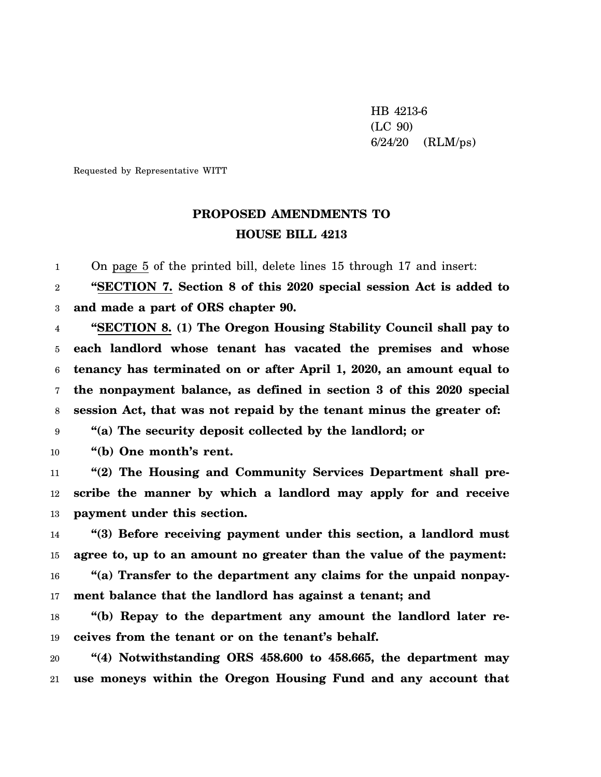HB 4213-6 (LC 90) 6/24/20 (RLM/ps)

Requested by Representative WITT

## **PROPOSED AMENDMENTS TO HOUSE BILL 4213**

1 On page 5 of the printed bill, delete lines 15 through 17 and insert:

2 3 **"SECTION 7. Section 8 of this 2020 special session Act is added to and made a part of ORS chapter 90.**

4 5 6 7 8 **"SECTION 8. (1) The Oregon Housing Stability Council shall pay to each landlord whose tenant has vacated the premises and whose tenancy has terminated on or after April 1, 2020, an amount equal to the nonpayment balance, as defined in section 3 of this 2020 special session Act, that was not repaid by the tenant minus the greater of:**

9 **"(a) The security deposit collected by the landlord; or**

10 **"(b) One month's rent.**

11 12 13 **"(2) The Housing and Community Services Department shall prescribe the manner by which a landlord may apply for and receive payment under this section.**

14 15 16 17 **"(3) Before receiving payment under this section, a landlord must agree to, up to an amount no greater than the value of the payment: "(a) Transfer to the department any claims for the unpaid nonpayment balance that the landlord has against a tenant; and**

18 19 **"(b) Repay to the department any amount the landlord later receives from the tenant or on the tenant's behalf.**

20 21 **"(4) Notwithstanding ORS 458.600 to 458.665, the department may use moneys within the Oregon Housing Fund and any account that**